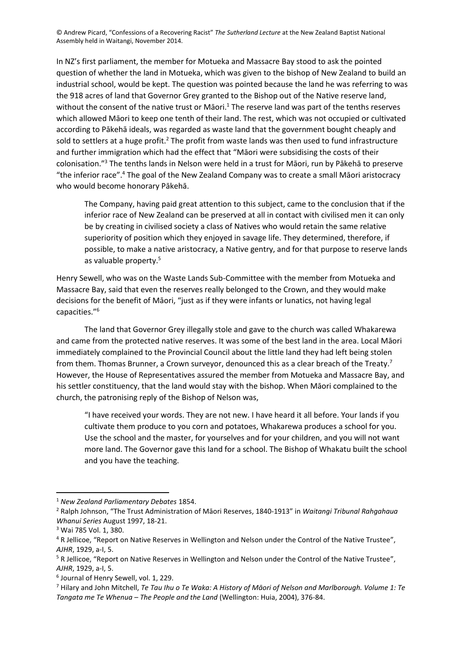In NZ's first parliament, the member for Motueka and Massacre Bay stood to ask the pointed question of whether the land in Motueka, which was given to the bishop of New Zealand to build an industrial school, would be kept. The question was pointed because the land he was referring to was the 918 acres of land that Governor Grey granted to the Bishop out of the Native reserve land, without the consent of the native trust or Māori.<sup>1</sup> The reserve land was part of the tenths reserves which allowed Māori to keep one tenth of their land. The rest, which was not occupied or cultivated according to Pākehā ideals, was regarded as waste land that the government bought cheaply and sold to settlers at a huge profit.<sup>2</sup> The profit from waste lands was then used to fund infrastructure and further immigration which had the effect that "Māori were subsidising the costs of their colonisation." <sup>3</sup> The tenths lands in Nelson were held in a trust for Māori, run by Pākehā to preserve "the inferior race".<sup>4</sup> The goal of the New Zealand Company was to create a small Māori aristocracy who would become honorary Pākehā.

The Company, having paid great attention to this subject, came to the conclusion that if the inferior race of New Zealand can be preserved at all in contact with civilised men it can only be by creating in civilised society a class of Natives who would retain the same relative superiority of position which they enjoyed in savage life. They determined, therefore, if possible, to make a native aristocracy, a Native gentry, and for that purpose to reserve lands as valuable property.<sup>5</sup>

Henry Sewell, who was on the Waste Lands Sub-Committee with the member from Motueka and Massacre Bay, said that even the reserves really belonged to the Crown, and they would make decisions for the benefit of Māori, "just as if they were infants or lunatics, not having legal capacities."<sup>6</sup>

The land that Governor Grey illegally stole and gave to the church was called Whakarewa and came from the protected native reserves. It was some of the best land in the area. Local Māori immediately complained to the Provincial Council about the little land they had left being stolen from them. Thomas Brunner, a Crown surveyor, denounced this as a clear breach of the Treaty.<sup>7</sup> However, the House of Representatives assured the member from Motueka and Massacre Bay, and his settler constituency, that the land would stay with the bishop. When Māori complained to the church, the patronising reply of the Bishop of Nelson was,

"I have received your words. They are not new. I have heard it all before. Your lands if you cultivate them produce to you corn and potatoes, Whakarewa produces a school for you. Use the school and the master, for yourselves and for your children, and you will not want more land. The Governor gave this land for a school. The Bishop of Whakatu built the school and you have the teaching.

<sup>1</sup> *New Zealand Parliamentary Debates* 1854.

<sup>2</sup> Ralph Johnson, "The Trust Administration of Māori Reserves, 1840-1913" in *Waitangi Tribunal Rahgahaua Whanui Series* August 1997, 18-21.

<sup>3</sup> Wai 785 Vol. 1, 380.

<sup>4</sup> R Jellicoe, "Report on Native Reserves in Wellington and Nelson under the Control of the Native Trustee", *AJHR*, 1929, a-I, 5.

<sup>&</sup>lt;sup>5</sup> R Jellicoe, "Report on Native Reserves in Wellington and Nelson under the Control of the Native Trustee", *AJHR*, 1929, a-I, 5.

<sup>6</sup> Journal of Henry Sewell, vol. 1, 229.

<sup>7</sup> Hilary and John Mitchell, *Te Tau Ihu o Te Waka: A History of Māori of Nelson and Marlborough. Volume 1: Te Tangata me Te Whenua – The People and the Land* (Wellington: Huia, 2004), 376-84.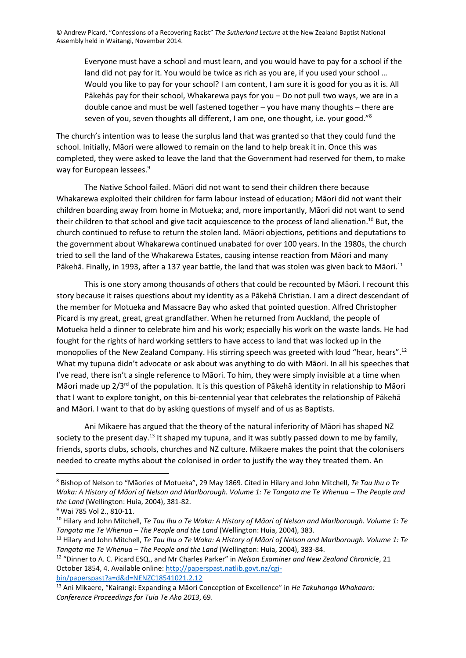Everyone must have a school and must learn, and you would have to pay for a school if the land did not pay for it. You would be twice as rich as you are, if you used your school … Would you like to pay for your school? I am content, I am sure it is good for you as it is. All Pākehās pay for their school, Whakarewa pays for you – Do not pull two ways, we are in a double canoe and must be well fastened together – you have many thoughts – there are seven of you, seven thoughts all different, I am one, one thought, i.e. your good."<sup>8</sup>

The church's intention was to lease the surplus land that was granted so that they could fund the school. Initially, Māori were allowed to remain on the land to help break it in. Once this was completed, they were asked to leave the land that the Government had reserved for them, to make way for European lessees.<sup>9</sup>

The Native School failed. Māori did not want to send their children there because Whakarewa exploited their children for farm labour instead of education; Māori did not want their children boarding away from home in Motueka; and, more importantly, Māori did not want to send their children to that school and give tacit acquiescence to the process of land alienation. <sup>10</sup> But, the church continued to refuse to return the stolen land. Māori objections, petitions and deputations to the government about Whakarewa continued unabated for over 100 years. In the 1980s, the church tried to sell the land of the Whakarewa Estates, causing intense reaction from Māori and many Pākehā. Finally, in 1993, after a 137 year battle, the land that was stolen was given back to Māori.<sup>11</sup>

This is one story among thousands of others that could be recounted by Māori. I recount this story because it raises questions about my identity as a Pākehā Christian. I am a direct descendant of the member for Motueka and Massacre Bay who asked that pointed question. Alfred Christopher Picard is my great, great, great grandfather. When he returned from Auckland, the people of Motueka held a dinner to celebrate him and his work; especially his work on the waste lands. He had fought for the rights of hard working settlers to have access to land that was locked up in the monopolies of the New Zealand Company. His stirring speech was greeted with loud "hear, hears".<sup>12</sup> What my tupuna didn't advocate or ask about was anything to do with Māori. In all his speeches that I've read, there isn't a single reference to Māori. To him, they were simply invisible at a time when Māori made up  $2/3^{rd}$  of the population. It is this question of Pākehā identity in relationship to Māori that I want to explore tonight, on this bi-centennial year that celebrates the relationship of Pākehā and Māori. I want to that do by asking questions of myself and of us as Baptists.

Ani Mikaere has argued that the theory of the natural inferiority of Māori has shaped NZ society to the present day.<sup>13</sup> It shaped my tupuna, and it was subtly passed down to me by family, friends, sports clubs, schools, churches and NZ culture. Mikaere makes the point that the colonisers needed to create myths about the colonised in order to justify the way they treated them. An

<sup>8</sup> Bishop of Nelson to "Māories of Motueka", 29 May 1869. Cited in Hilary and John Mitchell, *Te Tau Ihu o Te Waka: A History of Māori of Nelson and Marlborough. Volume 1: Te Tangata me Te Whenua – The People and the Land* (Wellington: Huia, 2004), 381-82.

<sup>9</sup> Wai 785 Vol 2., 810-11.

<sup>10</sup> Hilary and John Mitchell, *Te Tau Ihu o Te Waka: A History of Māori of Nelson and Marlborough. Volume 1: Te Tangata me Te Whenua – The People and the Land* (Wellington: Huia, 2004), 383.

<sup>11</sup> Hilary and John Mitchell, *Te Tau Ihu o Te Waka: A History of Māori of Nelson and Marlborough. Volume 1: Te Tangata me Te Whenua – The People and the Land* (Wellington: Huia, 2004), 383-84.

<sup>12</sup> "Dinner to A. C. Picard ESQ., and Mr Charles Parker" in *Nelson Examiner and New Zealand Chronicle*, 21 October 1854, 4. Available online: [http://paperspast.natlib.govt.nz/cgi](http://paperspast.natlib.govt.nz/cgi-bin/paperspast?a=d&d=NENZC18541021.2.12)[bin/paperspast?a=d&d=NENZC18541021.2.12](http://paperspast.natlib.govt.nz/cgi-bin/paperspast?a=d&d=NENZC18541021.2.12)

<sup>13</sup> Ani Mikaere, "Kairangi: Expanding a Māori Conception of Excellence" in *He Takuhanga Whakaaro: Conference Proceedings for Tuia Te Ako 2013*, 69.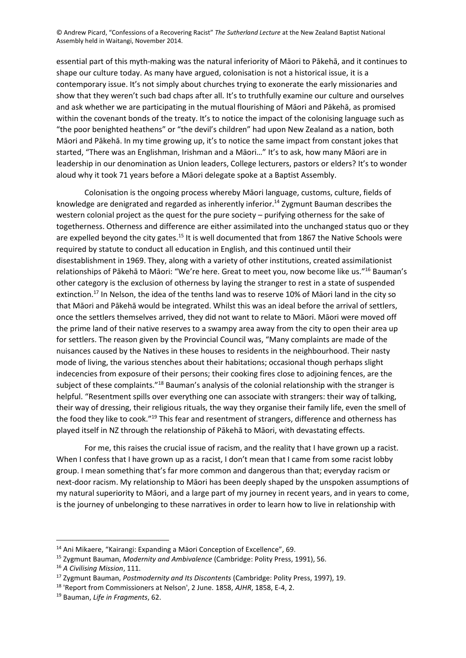essential part of this myth-making was the natural inferiority of Māori to Pākehā, and it continues to shape our culture today. As many have argued, colonisation is not a historical issue, it is a contemporary issue. It's not simply about churches trying to exonerate the early missionaries and show that they weren't such bad chaps after all. It's to truthfully examine our culture and ourselves and ask whether we are participating in the mutual flourishing of Māori and Pākehā, as promised within the covenant bonds of the treaty. It's to notice the impact of the colonising language such as "the poor benighted heathens" or "the devil's children" had upon New Zealand as a nation, both Māori and Pākehā. In my time growing up, it's to notice the same impact from constant jokes that started, "There was an Englishman, Irishman and a Māori…" It's to ask, how many Māori are in leadership in our denomination as Union leaders, College lecturers, pastors or elders? It's to wonder aloud why it took 71 years before a Māori delegate spoke at a Baptist Assembly.

Colonisation is the ongoing process whereby Māori language, customs, culture, fields of knowledge are denigrated and regarded as inherently inferior.<sup>14</sup> Zygmunt Bauman describes the western colonial project as the quest for the pure society – purifying otherness for the sake of togetherness. Otherness and difference are either assimilated into the unchanged status quo or they are expelled beyond the city gates.<sup>15</sup> It is well documented that from 1867 the Native Schools were required by statute to conduct all education in English, and this continued until their disestablishment in 1969. They, along with a variety of other institutions, created assimilationist relationships of Pākehā to Māori: "We're here. Great to meet you, now become like us."<sup>16</sup> Bauman's other category is the exclusion of otherness by laying the stranger to rest in a state of suspended extinction.<sup>17</sup> In Nelson, the idea of the tenths land was to reserve 10% of Māori land in the city so that Māori and Pākehā would be integrated. Whilst this was an ideal before the arrival of settlers, once the settlers themselves arrived, they did not want to relate to Māori. Māori were moved off the prime land of their native reserves to a swampy area away from the city to open their area up for settlers. The reason given by the Provincial Council was, "Many complaints are made of the nuisances caused by the Natives in these houses to residents in the neighbourhood. Their nasty mode of living, the various stenches about their habitations; occasional though perhaps slight indecencies from exposure of their persons; their cooking fires close to adjoining fences, are the subject of these complaints."<sup>18</sup> Bauman's analysis of the colonial relationship with the stranger is helpful. "Resentment spills over everything one can associate with strangers: their way of talking, their way of dressing, their religious rituals, the way they organise their family life, even the smell of the food they like to cook."<sup>19</sup> This fear and resentment of strangers, difference and otherness has played itself in NZ through the relationship of Pākehā to Māori, with devastating effects.

For me, this raises the crucial issue of racism, and the reality that I have grown up a racist. When I confess that I have grown up as a racist, I don't mean that I came from some racist lobby group. I mean something that's far more common and dangerous than that; everyday racism or next-door racism. My relationship to Māori has been deeply shaped by the unspoken assumptions of my natural superiority to Māori, and a large part of my journey in recent years, and in years to come, is the journey of unbelonging to these narratives in order to learn how to live in relationship with

<sup>14</sup> Ani Mikaere, "Kairangi: Expanding a Māori Conception of Excellence", 69.

<sup>15</sup> Zygmunt Bauman, *Modernity and Ambivalence* (Cambridge: Polity Press, 1991), 56.

<sup>16</sup> *A Civilising Mission*, 111.

<sup>17</sup> Zygmunt Bauman, *Postmodernity and Its Discontents* (Cambridge: Polity Press, 1997), 19.

<sup>18</sup> 'Report from Commissioners at Nelson', 2 June. 1858, *AJHR*, 1858, E-4, 2.

<sup>19</sup> Bauman, *Life in Fragments*, 62.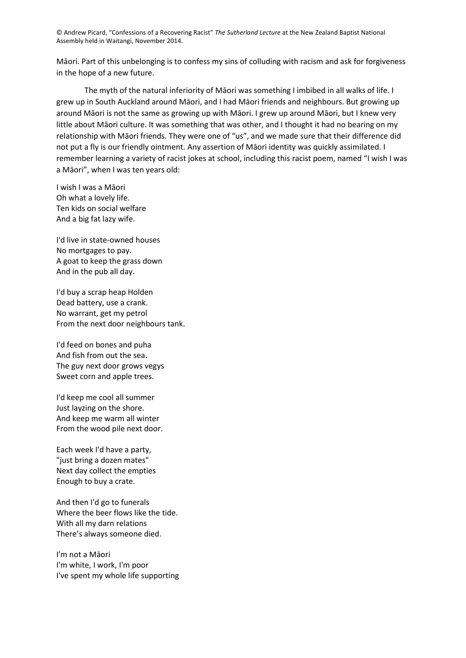Māori. Part of this unbelonging is to confess my sins of colluding with racism and ask for forgiveness in the hope of a new future.

The myth of the natural inferiority of Māori was something I imbibed in all walks of life. I grew up in South Auckland around Māori, and I had Māori friends and neighbours. But growing up around Māori is not the same as growing up with Māori. I grew up around Māori, but I knew very little about Māori culture. It was something that was other, and I thought it had no bearing on my relationship with Māori friends. They were one of "us", and we made sure that their difference did not put a fly is our friendly ointment. Any assertion of Māori identity was quickly assimilated. I remember learning a variety of racist jokes at school, including this racist poem, named "I wish I was a Māori", when I was ten years old:

I wish I was a Māori Oh what a lovely life. Ten kids on social welfare And a big fat lazy wife.

I'd live in state-owned houses No mortgages to pay. A goat to keep the grass down And in the pub all day.

I'd buy a scrap heap Holden Dead battery, use a crank. No warrant, get my petrol From the next door neighbours tank.

I'd feed on bones and puha And fish from out the sea. The guy next door grows vegys Sweet corn and apple trees.

I'd keep me cool all summer Just layzing on the shore. And keep me warm all winter From the wood pile next door.

Each week I'd have a party, "just bring a dozen mates" Next day collect the empties Enough to buy a crate.

And then I'd go to funerals Where the beer flows like the tide. With all my darn relations There's always someone died.

I'm not a Māori I'm white, I work, I'm poor I've spent my whole life supporting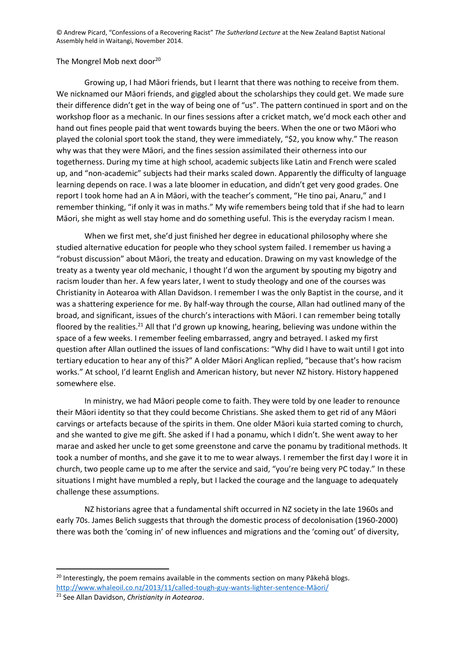## The Mongrel Mob next door<sup>20</sup>

Growing up, I had Māori friends, but I learnt that there was nothing to receive from them. We nicknamed our Māori friends, and giggled about the scholarships they could get. We made sure their difference didn't get in the way of being one of "us". The pattern continued in sport and on the workshop floor as a mechanic. In our fines sessions after a cricket match, we'd mock each other and hand out fines people paid that went towards buying the beers. When the one or two Māori who played the colonial sport took the stand, they were immediately, "\$2, you know why." The reason why was that they were Māori, and the fines session assimilated their otherness into our togetherness. During my time at high school, academic subjects like Latin and French were scaled up, and "non-academic" subjects had their marks scaled down. Apparently the difficulty of language learning depends on race. I was a late bloomer in education, and didn't get very good grades. One report I took home had an A in Māori, with the teacher's comment, "He tino pai, Anaru," and I remember thinking, "if only it was in maths." My wife remembers being told that if she had to learn Māori, she might as well stay home and do something useful. This is the everyday racism I mean.

When we first met, she'd just finished her degree in educational philosophy where she studied alternative education for people who they school system failed. I remember us having a "robust discussion" about Māori, the treaty and education. Drawing on my vast knowledge of the treaty as a twenty year old mechanic, I thought I'd won the argument by spouting my bigotry and racism louder than her. A few years later, I went to study theology and one of the courses was Christianity in Aotearoa with Allan Davidson. I remember I was the only Baptist in the course, and it was a shattering experience for me. By half-way through the course, Allan had outlined many of the broad, and significant, issues of the church's interactions with Māori. I can remember being totally floored by the realities.<sup>21</sup> All that I'd grown up knowing, hearing, believing was undone within the space of a few weeks. I remember feeling embarrassed, angry and betrayed. I asked my first question after Allan outlined the issues of land confiscations: "Why did I have to wait until I got into tertiary education to hear any of this?" A older Māori Anglican replied, "because that's how racism works." At school, I'd learnt English and American history, but never NZ history. History happened somewhere else.

In ministry, we had Māori people come to faith. They were told by one leader to renounce their Māori identity so that they could become Christians. She asked them to get rid of any Māori carvings or artefacts because of the spirits in them. One older Māori kuia started coming to church, and she wanted to give me gift. She asked if I had a ponamu, which I didn't. She went away to her marae and asked her uncle to get some greenstone and carve the ponamu by traditional methods. It took a number of months, and she gave it to me to wear always. I remember the first day I wore it in church, two people came up to me after the service and said, "you're being very PC today." In these situations I might have mumbled a reply, but I lacked the courage and the language to adequately challenge these assumptions.

NZ historians agree that a fundamental shift occurred in NZ society in the late 1960s and early 70s. James Belich suggests that through the domestic process of decolonisation (1960-2000) there was both the 'coming in' of new influences and migrations and the 'coming out' of diversity,

<sup>&</sup>lt;sup>20</sup> Interestingly, the poem remains available in the comments section on many Pākehā blogs. [http://www.whaleoil.co.nz/2013/11/called-tough-guy-wants-lighter-sentence-](http://www.whaleoil.co.nz/2013/11/called-tough-guy-wants-lighter-sentence-maori/)Māori/

<sup>21</sup> See Allan Davidson, *Christianity in Aotearoa*.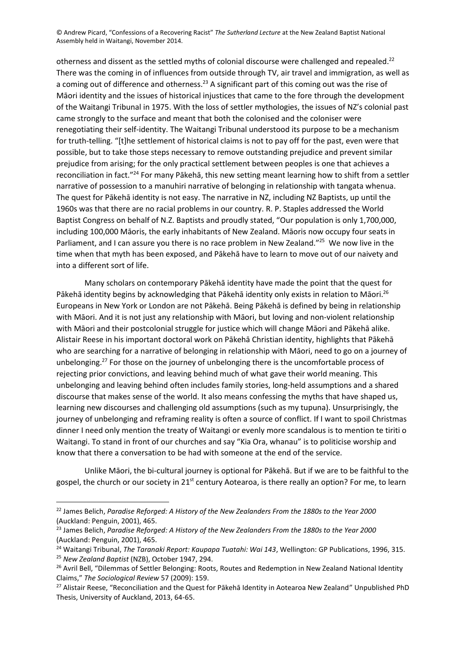otherness and dissent as the settled myths of colonial discourse were challenged and repealed.<sup>22</sup> There was the coming in of influences from outside through TV, air travel and immigration, as well as a coming out of difference and otherness.<sup>23</sup> A significant part of this coming out was the rise of Māori identity and the issues of historical injustices that came to the fore through the development of the Waitangi Tribunal in 1975. With the loss of settler mythologies, the issues of NZ's colonial past came strongly to the surface and meant that both the colonised and the coloniser were renegotiating their self-identity. The Waitangi Tribunal understood its purpose to be a mechanism for truth-telling. "[t]he settlement of historical claims is not to pay off for the past, even were that possible, but to take those steps necessary to remove outstanding prejudice and prevent similar prejudice from arising; for the only practical settlement between peoples is one that achieves a reconciliation in fact."<sup>24</sup> For many Pākehā, this new setting meant learning how to shift from a settler narrative of possession to a manuhiri narrative of belonging in relationship with tangata whenua. The quest for Pākehā identity is not easy. The narrative in NZ, including NZ Baptists, up until the 1960s was that there are no racial problems in our country. R. P. Staples addressed the World Baptist Congress on behalf of N.Z. Baptists and proudly stated, "Our population is only 1,700,000, including 100,000 Māoris, the early inhabitants of New Zealand. Māoris now occupy four seats in Parliament, and I can assure you there is no race problem in New Zealand."<sup>25</sup> We now live in the time when that myth has been exposed, and Pākehā have to learn to move out of our naivety and into a different sort of life.

Many scholars on contemporary Pākehā identity have made the point that the quest for Pākehā identity begins by acknowledging that Pākehā identity only exists in relation to Māori.<sup>26</sup> Europeans in New York or London are not Pākehā. Being Pākehā is defined by being in relationship with Māori. And it is not just any relationship with Māori, but loving and non-violent relationship with Māori and their postcolonial struggle for justice which will change Māori and Pākehā alike. Alistair Reese in his important doctoral work on Pākehā Christian identity, highlights that Pākehā who are searching for a narrative of belonging in relationship with Māori, need to go on a journey of unbelonging.<sup>27</sup> For those on the journey of unbelonging there is the uncomfortable process of rejecting prior convictions, and leaving behind much of what gave their world meaning. This unbelonging and leaving behind often includes family stories, long-held assumptions and a shared discourse that makes sense of the world. It also means confessing the myths that have shaped us, learning new discourses and challenging old assumptions (such as my tupuna). Unsurprisingly, the journey of unbelonging and reframing reality is often a source of conflict. If I want to spoil Christmas dinner I need only mention the treaty of Waitangi or evenly more scandalous is to mention te tiriti o Waitangi. To stand in front of our churches and say "Kia Ora, whanau" is to politicise worship and know that there a conversation to be had with someone at the end of the service.

Unlike Māori, the bi-cultural journey is optional for Pākehā. But if we are to be faithful to the gospel, the church or our society in 21<sup>st</sup> century Aotearoa, is there really an option? For me, to learn

<sup>22</sup> James Belich, *Paradise Reforged: A History of the New Zealanders From the 1880s to the Year 2000*  (Auckland: Penguin, 2001), 465.

<sup>23</sup> James Belich, *Paradise Reforged: A History of the New Zealanders From the 1880s to the Year 2000*  (Auckland: Penguin, 2001), 465.

<sup>24</sup> Waitangi Tribunal, *The Taranaki Report: Kaupapa Tuatahi: Wai 143*, Wellington: GP Publications, 1996, 315. <sup>25</sup> *New Zealand Baptist* (NZB), October 1947, 294.

<sup>&</sup>lt;sup>26</sup> Avril Bell, "Dilemmas of Settler Belonging: Roots, Routes and Redemption in New Zealand National Identity Claims," *The Sociological Review* 57 (2009): 159.

<sup>&</sup>lt;sup>27</sup> Alistair Reese, "Reconciliation and the Quest for Pākehā Identity in Aotearoa New Zealand" Unpublished PhD Thesis, University of Auckland, 2013, 64-65.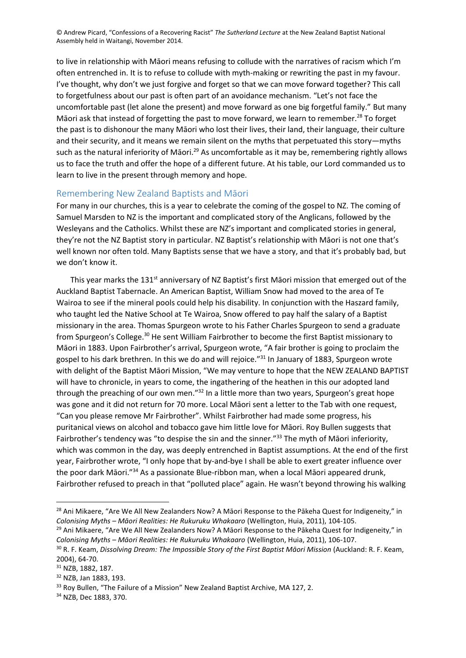to live in relationship with Māori means refusing to collude with the narratives of racism which I'm often entrenched in. It is to refuse to collude with myth-making or rewriting the past in my favour. I've thought, why don't we just forgive and forget so that we can move forward together? This call to forgetfulness about our past is often part of an avoidance mechanism. "Let's not face the uncomfortable past (let alone the present) and move forward as one big forgetful family." But many Māori ask that instead of forgetting the past to move forward, we learn to remember.<sup>28</sup> To forget the past is to dishonour the many Māori who lost their lives, their land, their language, their culture and their security, and it means we remain silent on the myths that perpetuated this story—myths such as the natural inferiority of Māori.<sup>29</sup> As uncomfortable as it may be, remembering rightly allows us to face the truth and offer the hope of a different future. At his table, our Lord commanded us to learn to live in the present through memory and hope.

## Remembering New Zealand Baptists and Māori

For many in our churches, this is a year to celebrate the coming of the gospel to NZ. The coming of Samuel Marsden to NZ is the important and complicated story of the Anglicans, followed by the Wesleyans and the Catholics. Whilst these are NZ's important and complicated stories in general, they're not the NZ Baptist story in particular. NZ Baptist's relationship with Māori is not one that's well known nor often told. Many Baptists sense that we have a story, and that it's probably bad, but we don't know it.

This year marks the 131<sup>st</sup> anniversary of NZ Baptist's first Māori mission that emerged out of the Auckland Baptist Tabernacle. An American Baptist, William Snow had moved to the area of Te Wairoa to see if the mineral pools could help his disability. In conjunction with the Haszard family, who taught led the Native School at Te Wairoa, Snow offered to pay half the salary of a Baptist missionary in the area. Thomas Spurgeon wrote to his Father Charles Spurgeon to send a graduate from Spurgeon's College.<sup>30</sup> He sent William Fairbrother to become the first Baptist missionary to Māori in 1883. Upon Fairbrother's arrival, Spurgeon wrote, "A fair brother is going to proclaim the gospel to his dark brethren. In this we do and will rejoice."<sup>31</sup> In January of 1883, Spurgeon wrote with delight of the Baptist Māori Mission, "We may venture to hope that the NEW ZEALAND BAPTIST will have to chronicle, in years to come, the ingathering of the heathen in this our adopted land through the preaching of our own men."<sup>32</sup> In a little more than two years, Spurgeon's great hope was gone and it did not return for 70 more. Local Māori sent a letter to the Tab with one request, "Can you please remove Mr Fairbrother". Whilst Fairbrother had made some progress, his puritanical views on alcohol and tobacco gave him little love for Māori. Roy Bullen suggests that Fairbrother's tendency was "to despise the sin and the sinner."<sup>33</sup> The myth of Māori inferiority, which was common in the day, was deeply entrenched in Baptist assumptions. At the end of the first year, Fairbrother wrote, "I only hope that by-and-bye I shall be able to exert greater influence over the poor dark Māori."<sup>34</sup> As a passionate Blue-ribbon man, when a local Māori appeared drunk, Fairbrother refused to preach in that "polluted place" again. He wasn't beyond throwing his walking

<sup>&</sup>lt;sup>28</sup> Ani Mikaere, "Are We All New Zealanders Now? A Māori Response to the Pākeha Quest for Indigeneity," in *Colonising Myths – Māori Realities: He Rukuruku Whakaaro* (Wellington, Huia, 2011), 104-105.

<sup>&</sup>lt;sup>29</sup> Ani Mikaere, "Are We All New Zealanders Now? A Māori Response to the Pākeha Quest for Indigeneity," in *Colonising Myths – Māori Realities: He Rukuruku Whakaaro* (Wellington, Huia, 2011), 106-107.

<sup>30</sup> R. F. Keam, *Dissolving Dream: The Impossible Story of the First Baptist Māori Mission* (Auckland: R. F. Keam, 2004), 64-70.

<sup>31</sup> NZB, 1882, 187.

<sup>32</sup> NZB, Jan 1883, 193.

<sup>&</sup>lt;sup>33</sup> Roy Bullen, "The Failure of a Mission" New Zealand Baptist Archive, MA 127, 2.

<sup>34</sup> NZB, Dec 1883, 370.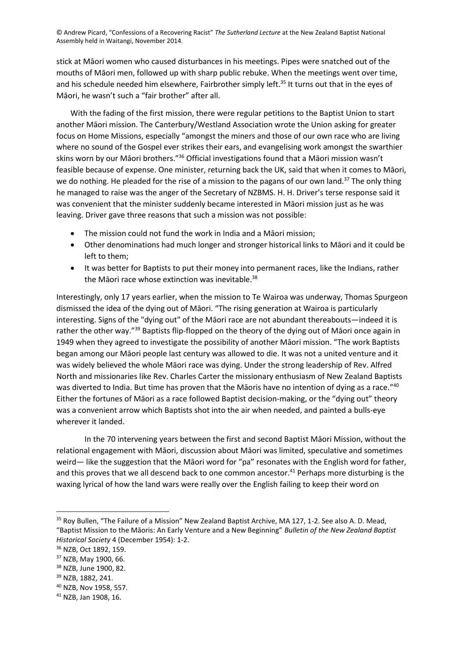stick at Māori women who caused disturbances in his meetings. Pipes were snatched out of the mouths of Māori men, followed up with sharp public rebuke. When the meetings went over time, and his schedule needed him elsewhere, Fairbrother simply left.<sup>35</sup> It turns out that in the eyes of Māori, he wasn't such a "fair brother" after all.

With the fading of the first mission, there were regular petitions to the Baptist Union to start another Māori mission. The Canterbury/Westland Association wrote the Union asking for greater focus on Home Missions, especially "amongst the miners and those of our own race who are living where no sound of the Gospel ever strikes their ears, and evangelising work amongst the swarthier skins worn by our Māori brothers."<sup>36</sup> Official investigations found that a Māori mission wasn't feasible because of expense. One minister, returning back the UK, said that when it comes to Māori, we do nothing. He pleaded for the rise of a mission to the pagans of our own land.<sup>37</sup> The only thing he managed to raise was the anger of the Secretary of NZBMS. H. H. Driver's terse response said it was convenient that the minister suddenly became interested in Māori mission just as he was leaving. Driver gave three reasons that such a mission was not possible:

- The mission could not fund the work in India and a Māori mission;
- Other denominations had much longer and stronger historical links to Māori and it could be left to them;
- It was better for Baptists to put their money into permanent races, like the Indians, rather the Māori race whose extinction was inevitable.<sup>38</sup>

Interestingly, only 17 years earlier, when the mission to Te Wairoa was underway, Thomas Spurgeon dismissed the idea of the dying out of Māori. "The rising generation at Wairoa is particularly interesting. Signs of the "dying out" of the Māori race are not abundant thereabouts—indeed it is rather the other way."<sup>39</sup> Baptists flip-flopped on the theory of the dying out of Māori once again in 1949 when they agreed to investigate the possibility of another Māori mission. "The work Baptists began among our Māori people last century was allowed to die. It was not a united venture and it was widely believed the whole Māori race was dying. Under the strong leadership of Rev. Alfred North and missionaries like Rev. Charles Carter the missionary enthusiasm of New Zealand Baptists was diverted to India. But time has proven that the Māoris have no intention of dying as a race."<sup>40</sup> Either the fortunes of Māori as a race followed Baptist decision-making, or the "dying out" theory was a convenient arrow which Baptists shot into the air when needed, and painted a bulls-eye wherever it landed.

In the 70 intervening years between the first and second Baptist Māori Mission, without the relational engagement with Māori, discussion about Māori was limited, speculative and sometimes weird— like the suggestion that the Māori word for "pa" resonates with the English word for father, and this proves that we all descend back to one common ancestor.<sup>41</sup> Perhaps more disturbing is the waxing lyrical of how the land wars were really over the English failing to keep their word on

<sup>&</sup>lt;sup>35</sup> Roy Bullen, "The Failure of a Mission" New Zealand Baptist Archive, MA 127, 1-2. See also A. D. Mead, "Baptist Mission to the Māoris: An Early Venture and a New Beginning" *Bulletin of the New Zealand Baptist Historical Society* 4 (December 1954): 1-2.

<sup>36</sup> NZB, Oct 1892, 159.

<sup>37</sup> NZB, May 1900, 66.

<sup>38</sup> NZB, June 1900, 82.

<sup>39</sup> NZB, 1882, 241.

<sup>40</sup> NZB, Nov 1958, 557.

<sup>41</sup> NZB, Jan 1908, 16.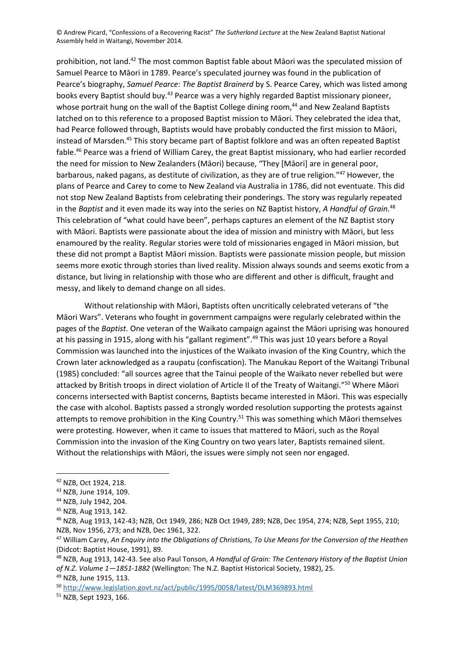prohibition, not land.<sup>42</sup> The most common Baptist fable about Māori was the speculated mission of Samuel Pearce to Māori in 1789. Pearce's speculated journey was found in the publication of Pearce's biography, *Samuel Pearce: The Baptist Brainerd* by S. Pearce Carey, which was listed among books every Baptist should buy. <sup>43</sup> Pearce was a very highly regarded Baptist missionary pioneer, whose portrait hung on the wall of the Baptist College dining room,<sup>44</sup> and New Zealand Baptists latched on to this reference to a proposed Baptist mission to Māori. They celebrated the idea that, had Pearce followed through, Baptists would have probably conducted the first mission to Māori, instead of Marsden.<sup>45</sup> This story became part of Baptist folklore and was an often repeated Baptist fable.<sup>46</sup> Pearce was a friend of William Carey, the great Baptist missionary, who had earlier recorded the need for mission to New Zealanders (Māori) because, "They [Māori] are in general poor, barbarous, naked pagans, as destitute of civilization, as they are of true religion." <sup>47</sup> However, the plans of Pearce and Carey to come to New Zealand via Australia in 1786, did not eventuate. This did not stop New Zealand Baptists from celebrating their ponderings. The story was regularly repeated in the *Baptist* and it even made its way into the series on NZ Baptist history, *A Handful of Grain*. 48 This celebration of "what could have been", perhaps captures an element of the NZ Baptist story with Māori. Baptists were passionate about the idea of mission and ministry with Māori, but less enamoured by the reality. Regular stories were told of missionaries engaged in Māori mission, but these did not prompt a Baptist Māori mission. Baptists were passionate mission people, but mission seems more exotic through stories than lived reality. Mission always sounds and seems exotic from a distance, but living in relationship with those who are different and other is difficult, fraught and messy, and likely to demand change on all sides.

Without relationship with Māori, Baptists often uncritically celebrated veterans of "the Māori Wars". Veterans who fought in government campaigns were regularly celebrated within the pages of the *Baptist.* One veteran of the Waikato campaign against the Māori uprising was honoured at his passing in 1915, along with his "gallant regiment".<sup>49</sup> This was just 10 years before a Royal Commission was launched into the injustices of the Waikato invasion of the King Country, which the Crown later acknowledged as a raupatu (confiscation). The Manukau Report of the Waitangi Tribunal (1985) concluded: "all sources agree that the Tainui people of the Waikato never rebelled but were attacked by British troops in direct violation of Article II of the Treaty of Waitangi." <sup>50</sup> Where Māori concerns intersected with Baptist concerns, Baptists became interested in Māori. This was especially the case with alcohol. Baptists passed a strongly worded resolution supporting the protests against attempts to remove prohibition in the King Country.<sup>51</sup> This was something which Māori themselves were protesting. However, when it came to issues that mattered to Māori, such as the Royal Commission into the invasion of the King Country on two years later, Baptists remained silent. Without the relationships with Māori, the issues were simply not seen nor engaged.

<sup>48</sup> NZB, Aug 1913, 142-43. See also Paul Tonson, *A Handful of Grain: The Centenary History of the Baptist Union of N.Z. Volume 1—1851-1882* (Wellington: The N.Z. Baptist Historical Society, 1982), 25.

<sup>49</sup> NZB, June 1915, 113.

<sup>42</sup> NZB, Oct 1924, 218.

<sup>43</sup> NZB, June 1914, 109.

<sup>44</sup> NZB, July 1942, 204.

<sup>45</sup> NZB, Aug 1913, 142.

<sup>46</sup> NZB, Aug 1913, 142-43; NZB, Oct 1949, 286; NZB Oct 1949, 289; NZB, Dec 1954, 274; NZB, Sept 1955, 210; NZB, Nov 1956, 273; and NZB, Dec 1961, 322.

<sup>47</sup> William Carey, *An Enquiry into the Obligations of Christians, To Use Means for the Conversion of the Heathen*  (Didcot: Baptist House, 1991), 89.

<sup>50</sup> <http://www.legislation.govt.nz/act/public/1995/0058/latest/DLM369893.html>

<sup>51</sup> NZB, Sept 1923, 166.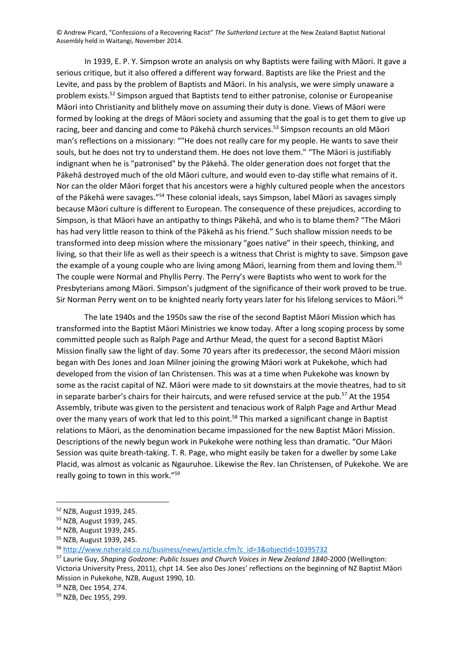In 1939, E. P. Y. Simpson wrote an analysis on why Baptists were failing with Māori. It gave a serious critique, but it also offered a different way forward. Baptists are like the Priest and the Levite, and pass by the problem of Baptists and Māori. In his analysis, we were simply unaware a problem exists.<sup>52</sup> Simpson argued that Baptists tend to either patronise, colonise or Europeanise Māori into Christianity and blithely move on assuming their duty is done. Views of Māori were formed by looking at the dregs of Māori society and assuming that the goal is to get them to give up racing, beer and dancing and come to Pākehā church services.<sup>53</sup> Simpson recounts an old Māori man's reflections on a missionary: ""He does not really care for my people. He wants to save their souls, but he does not try to understand them. He does not love them." "The Māori is justifiably indignant when he is "patronised" by the Pākehā. The older generation does not forget that the Pākehā destroyed much of the old Māori culture, and would even to-day stifle what remains of it. Nor can the older Māori forget that his ancestors were a highly cultured people when the ancestors of the Pākehā were savages."<sup>54</sup> These colonial ideals, says Simpson, label Māori as savages simply because Māori culture is different to European. The consequence of these prejudices, according to Simpson, is that Māori have an antipathy to things Pākehā, and who is to blame them? "The Māori has had very little reason to think of the Pākehā as his friend." Such shallow mission needs to be transformed into deep mission where the missionary "goes native" in their speech, thinking, and living, so that their life as well as their speech is a witness that Christ is mighty to save. Simpson gave the example of a young couple who are living among Māori, learning from them and loving them.<sup>55</sup> The couple were Normal and Phyllis Perry. The Perry's were Baptists who went to work for the Presbyterians among Māori. Simpson's judgment of the significance of their work proved to be true. Sir Norman Perry went on to be knighted nearly forty years later for his lifelong services to Māori.<sup>56</sup>

The late 1940s and the 1950s saw the rise of the second Baptist Māori Mission which has transformed into the Baptist Māori Ministries we know today. After a long scoping process by some committed people such as Ralph Page and Arthur Mead, the quest for a second Baptist Māori Mission finally saw the light of day. Some 70 years after its predecessor, the second Māori mission began with Des Jones and Joan Milner joining the growing Māori work at Pukekohe, which had developed from the vision of Ian Christensen. This was at a time when Pukekohe was known by some as the racist capital of NZ. Māori were made to sit downstairs at the movie theatres, had to sit in separate barber's chairs for their haircuts, and were refused service at the pub.<sup>57</sup> At the 1954 Assembly, tribute was given to the persistent and tenacious work of Ralph Page and Arthur Mead over the many years of work that led to this point.<sup>58</sup> This marked a significant change in Baptist relations to Māori, as the denomination became impassioned for the new Baptist Māori Mission. Descriptions of the newly begun work in Pukekohe were nothing less than dramatic. "Our Māori Session was quite breath-taking. T. R. Page, who might easily be taken for a dweller by some Lake Placid, was almost as volcanic as Ngauruhoe. Likewise the Rev. Ian Christensen, of Pukekohe. We are really going to town in this work." 59

<sup>52</sup> NZB, August 1939, 245.

<sup>53</sup> NZB, August 1939, 245.

<sup>54</sup> NZB, August 1939, 245.

<sup>55</sup> NZB, August 1939, 245.

<sup>56</sup> [http://www.nzherald.co.nz/business/news/article.cfm?c\\_id=3&objectid=10395732](http://www.nzherald.co.nz/business/news/article.cfm?c_id=3&objectid=10395732)

<sup>57</sup> Laurie Guy, *Shaping Godzone: Public Issues and Church Voices in New Zealand 1840-*2000 (Wellington: Victoria University Press, 2011), chpt 14. See also Des Jones' reflections on the beginning of NZ Baptist Māori Mission in Pukekohe, NZB, August 1990, 10.

<sup>58</sup> NZB, Dec 1954, 274.

<sup>59</sup> NZB, Dec 1955, 299.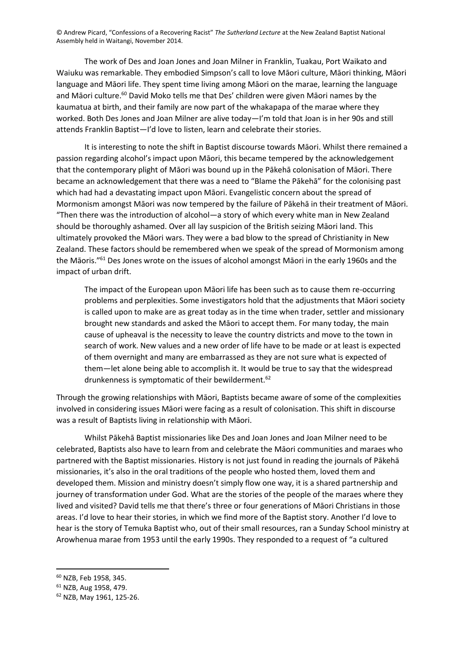The work of Des and Joan Jones and Joan Milner in Franklin, Tuakau, Port Waikato and Waiuku was remarkable. They embodied Simpson's call to love Māori culture, Māori thinking, Māori language and Māori life. They spent time living among Māori on the marae, learning the language and Māori culture.<sup>60</sup> David Moko tells me that Des' children were given Māori names by the kaumatua at birth, and their family are now part of the whakapapa of the marae where they worked. Both Des Jones and Joan Milner are alive today—I'm told that Joan is in her 90s and still attends Franklin Baptist—I'd love to listen, learn and celebrate their stories.

It is interesting to note the shift in Baptist discourse towards Māori. Whilst there remained a passion regarding alcohol's impact upon Māori, this became tempered by the acknowledgement that the contemporary plight of Māori was bound up in the Pākehā colonisation of Māori. There became an acknowledgement that there was a need to "Blame the Pākehā" for the colonising past which had had a devastating impact upon Māori. Evangelistic concern about the spread of Mormonism amongst Māori was now tempered by the failure of Pākehā in their treatment of Māori. "Then there was the introduction of alcohol—a story of which every white man in New Zealand should be thoroughly ashamed. Over all lay suspicion of the British seizing Māori land. This ultimately provoked the Māori wars. They were a bad blow to the spread of Christianity in New Zealand. These factors should be remembered when we speak of the spread of Mormonism among the Māoris." <sup>61</sup> Des Jones wrote on the issues of alcohol amongst Māori in the early 1960s and the impact of urban drift.

The impact of the European upon Māori life has been such as to cause them re-occurring problems and perplexities. Some investigators hold that the adjustments that Māori society is called upon to make are as great today as in the time when trader, settler and missionary brought new standards and asked the Māori to accept them. For many today, the main cause of upheaval is the necessity to leave the country districts and move to the town in search of work. New values and a new order of life have to be made or at least is expected of them overnight and many are embarrassed as they are not sure what is expected of them—let alone being able to accomplish it. It would be true to say that the widespread drunkenness is symptomatic of their bewilderment.<sup>62</sup>

Through the growing relationships with Māori, Baptists became aware of some of the complexities involved in considering issues Māori were facing as a result of colonisation. This shift in discourse was a result of Baptists living in relationship with Māori.

Whilst Pākehā Baptist missionaries like Des and Joan Jones and Joan Milner need to be celebrated, Baptists also have to learn from and celebrate the Māori communities and maraes who partnered with the Baptist missionaries. History is not just found in reading the journals of Pākehā missionaries, it's also in the oral traditions of the people who hosted them, loved them and developed them. Mission and ministry doesn't simply flow one way, it is a shared partnership and journey of transformation under God. What are the stories of the people of the maraes where they lived and visited? David tells me that there's three or four generations of Māori Christians in those areas. I'd love to hear their stories, in which we find more of the Baptist story. Another I'd love to hear is the story of Temuka Baptist who, out of their small resources, ran a Sunday School ministry at Arowhenua marae from 1953 until the early 1990s. They responded to a request of "a cultured

<sup>60</sup> NZB, Feb 1958, 345.

<sup>61</sup> NZB, Aug 1958, 479.

<sup>62</sup> NZB, May 1961, 125-26.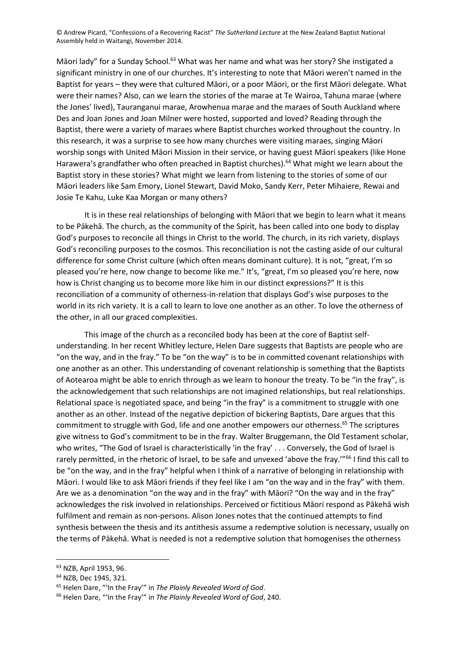Māori lady" for a Sunday School.<sup>63</sup> What was her name and what was her story? She instigated a significant ministry in one of our churches. It's interesting to note that Māori weren't named in the Baptist for years – they were that cultured Māori, or a poor Māori, or the first Māori delegate. What were their names? Also, can we learn the stories of the marae at Te Wairoa, Tahuna marae (where the Jones' lived), Tauranganui marae, Arowhenua marae and the maraes of South Auckland where Des and Joan Jones and Joan Milner were hosted, supported and loved? Reading through the Baptist, there were a variety of maraes where Baptist churches worked throughout the country. In this research, it was a surprise to see how many churches were visiting maraes, singing Māori worship songs with United Māori Mission in their service, or having guest Māori speakers (like Hone Harawera's grandfather who often preached in Baptist churches).<sup>64</sup> What might we learn about the Baptist story in these stories? What might we learn from listening to the stories of some of our Māori leaders like Sam Emory, Lionel Stewart, David Moko, Sandy Kerr, Peter Mihaiere, Rewai and Josie Te Kahu, Luke Kaa Morgan or many others?

It is in these real relationships of belonging with Māori that we begin to learn what it means to be Pākehā. The church, as the community of the Spirit, has been called into one body to display God's purposes to reconcile all things in Christ to the world. The church, in its rich variety, displays God's reconciling purposes to the cosmos. This reconciliation is not the casting aside of our cultural difference for some Christ culture (which often means dominant culture). It is not, "great, I'm so pleased you're here, now change to become like me." It's, "great, I'm so pleased you're here, now how is Christ changing us to become more like him in our distinct expressions?" It is this reconciliation of a community of otherness-in-relation that displays God's wise purposes to the world in its rich variety. It is a call to learn to love one another as an other. To love the otherness of the other, in all our graced complexities.

This image of the church as a reconciled body has been at the core of Baptist selfunderstanding. In her recent Whitley lecture, Helen Dare suggests that Baptists are people who are "on the way, and in the fray." To be "on the way" is to be in committed covenant relationships with one another as an other. This understanding of covenant relationship is something that the Baptists of Aotearoa might be able to enrich through as we learn to honour the treaty. To be "in the fray", is the acknowledgement that such relationships are not imagined relationships, but real relationships. Relational space is negotiated space, and being "in the fray" is a commitment to struggle with one another as an other. Instead of the negative depiction of bickering Baptists, Dare argues that this commitment to struggle with God, life and one another empowers our otherness.<sup>65</sup> The scriptures give witness to God's commitment to be in the fray. Walter Bruggemann, the Old Testament scholar, who writes, "The God of Israel is characteristically 'in the fray' . . . Conversely, the God of Israel is rarely permitted, in the rhetoric of Israel, to be safe and unvexed 'above the fray."<sup>66</sup> I find this call to be "on the way, and in the fray" helpful when I think of a narrative of belonging in relationship with Māori. I would like to ask Māori friends if they feel like I am "on the way and in the fray" with them. Are we as a denomination "on the way and in the fray" with Māori? "On the way and in the fray" acknowledges the risk involved in relationships. Perceived or fictitious Māori respond as Pākehā wish fulfilment and remain as non-persons. Alison Jones notes that the continued attempts to find synthesis between the thesis and its antithesis assume a redemptive solution is necessary, usually on the terms of Pākehā. What is needed is not a redemptive solution that homogenises the otherness

<sup>63</sup> NZB, April 1953, 96.

<sup>64</sup> NZB, Dec 1945, 321.

<sup>65</sup> Helen Dare, "'In the Fray'" in *The Plainly Revealed Word of God*.

<sup>66</sup> Helen Dare, "'In the Fray'" in *The Plainly Revealed Word of God*, 240.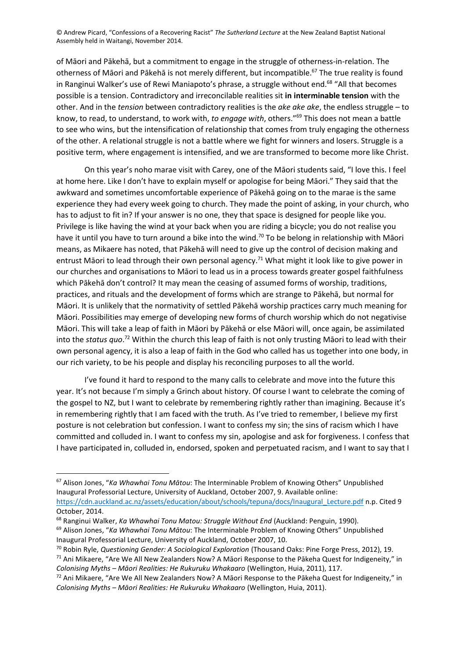of Māori and Pākehā, but a commitment to engage in the struggle of otherness-in-relation. The otherness of Māori and Pākehā is not merely different, but incompatible.<sup>67</sup> The true reality is found in Ranginui Walker's use of Rewi Maniapoto's phrase, a struggle without end.<sup>68</sup> "All that becomes possible is a tension. Contradictory and irreconcilable realities sit **in interminable tension** with the other. And in the *tension* between contradictory realities is the *ake ake ake*, the endless struggle – to know, to read, to understand, to work with, *to engage with*, others." <sup>69</sup> This does not mean a battle to see who wins, but the intensification of relationship that comes from truly engaging the otherness of the other. A relational struggle is not a battle where we fight for winners and losers. Struggle is a positive term, where engagement is intensified, and we are transformed to become more like Christ.

On this year's noho marae visit with Carey, one of the Māori students said, "I love this. I feel at home here. Like I don't have to explain myself or apologise for being Māori." They said that the awkward and sometimes uncomfortable experience of Pākehā going on to the marae is the same experience they had every week going to church. They made the point of asking, in your church, who has to adjust to fit in? If your answer is no one, they that space is designed for people like you. Privilege is like having the wind at your back when you are riding a bicycle; you do not realise you have it until you have to turn around a bike into the wind.<sup>70</sup> To be belong in relationship with Māori means, as Mikaere has noted, that Pākehā will need to give up the control of decision making and entrust Māori to lead through their own personal agency.<sup>71</sup> What might it look like to give power in our churches and organisations to Māori to lead us in a process towards greater gospel faithfulness which Pākehā don't control? It may mean the ceasing of assumed forms of worship, traditions, practices, and rituals and the development of forms which are strange to Pākehā, but normal for Māori. It is unlikely that the normativity of settled Pākehā worship practices carry much meaning for Māori. Possibilities may emerge of developing new forms of church worship which do not negativise Māori. This will take a leap of faith in Māori by Pākehā or else Māori will, once again, be assimilated into the *status quo*. <sup>72</sup> Within the church this leap of faith is not only trusting Māori to lead with their own personal agency, it is also a leap of faith in the God who called has us together into one body, in our rich variety, to be his people and display his reconciling purposes to all the world.

I've found it hard to respond to the many calls to celebrate and move into the future this year. It's not because I'm simply a Grinch about history. Of course I want to celebrate the coming of the gospel to NZ, but I want to celebrate by remembering rightly rather than imagining. Because it's in remembering rightly that I am faced with the truth. As I've tried to remember, I believe my first posture is not celebration but confession. I want to confess my sin; the sins of racism which I have committed and colluded in. I want to confess my sin, apologise and ask for forgiveness. I confess that I have participated in, colluded in, endorsed, spoken and perpetuated racism, and I want to say that I

<sup>67</sup> Alison Jones, "*Ka Whawhai Tonu Mātou*: The Interminable Problem of Knowing Others" Unpublished Inaugural Professorial Lecture, University of Auckland, October 2007, 9. Available online: [https://cdn.auckland.ac.nz/assets/education/about/schools/tepuna/docs/Inaugural\\_Lecture.pdf](https://cdn.auckland.ac.nz/assets/education/about/schools/tepuna/docs/Inaugural_Lecture.pdf) n.p. Cited 9 October, 2014.

<sup>68</sup> Ranginui Walker, *Ka Whawhai Tonu Matou: Struggle Without End* (Auckland: Penguin, 1990).

<sup>69</sup> Alison Jones, "*Ka Whawhai Tonu Mātou*: The Interminable Problem of Knowing Others" Unpublished Inaugural Professorial Lecture, University of Auckland, October 2007, 10.

<sup>70</sup> Robin Ryle, *Questioning Gender: A Sociological Exploration* (Thousand Oaks: Pine Forge Press, 2012), 19.

 $71$  Ani Mikaere, "Are We All New Zealanders Now? A Māori Response to the Pākeha Quest for Indigeneity," in *Colonising Myths – Māori Realities: He Rukuruku Whakaaro* (Wellington, Huia, 2011), 117.

<sup>72</sup> Ani Mikaere, "Are We All New Zealanders Now? A Māori Response to the Pākeha Quest for Indigeneity," in *Colonising Myths – Māori Realities: He Rukuruku Whakaaro* (Wellington, Huia, 2011).